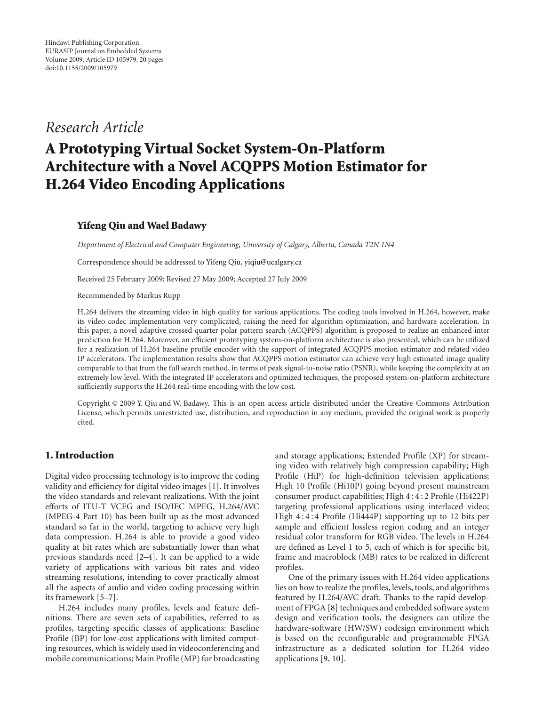## *Research Article*

# **A Prototyping Virtual Socket System-On-Platform Architecture with a Novel ACQPPS Motion Estimator for H.264 Video Encoding Applications**

## **Yifeng Qiu and Wael Badawy**

*Department of Electrical and Computer Engineering, University of Calgary, Alberta, Canada T2N 1N4*

Correspondence should be addressed to Yifeng Qiu, yiqiu@ucalgary.ca

Received 25 February 2009; Revised 27 May 2009; Accepted 27 July 2009

Recommended by Markus Rupp

H.264 delivers the streaming video in high quality for various applications. The coding tools involved in H.264, however, make its video codec implementation very complicated, raising the need for algorithm optimization, and hardware acceleration. In this paper, a novel adaptive crossed quarter polar pattern search (ACQPPS) algorithm is proposed to realize an enhanced inter prediction for H.264. Moreover, an efficient prototyping system-on-platform architecture is also presented, which can be utilized for a realization of H.264 baseline profile encoder with the support of integrated ACQPPS motion estimator and related video IP accelerators. The implementation results show that ACQPPS motion estimator can achieve very high estimated image quality comparable to that from the full search method, in terms of peak signal-to-noise ratio (PSNR), while keeping the complexity at an extremely low level. With the integrated IP accelerators and optimized techniques, the proposed system-on-platform architecture sufficiently supports the H.264 real-time encoding with the low cost.

Copyright © 2009 Y. Qiu and W. Badawy. This is an open access article distributed under the Creative Commons Attribution License, which permits unrestricted use, distribution, and reproduction in any medium, provided the original work is properly cited.

## **1. Introduction**

Digital video processing technology is to improve the coding validity and efficiency for digital video images [1]. It involves the video standards and relevant realizations. With the joint efforts of ITU-T VCEG and ISO/IEC MPEG, H.264/AVC (MPEG-4 Part 10) has been built up as the most advanced standard so far in the world, targeting to achieve very high data compression. H.264 is able to provide a good video quality at bit rates which are substantially lower than what previous standards need [2–4]. It can be applied to a wide variety of applications with various bit rates and video streaming resolutions, intending to cover practically almost all the aspects of audio and video coding processing within its framework [5–7].

H.264 includes many profiles, levels and feature definitions. There are seven sets of capabilities, referred to as profiles, targeting specific classes of applications: Baseline Profile (BP) for low-cost applications with limited computing resources, which is widely used in videoconferencing and mobile communications; Main Profile (MP) for broadcasting

and storage applications; Extended Profile (XP) for streaming video with relatively high compression capability; High Profile (HiP) for high-definition television applications; High 10 Profile (Hi10P) going beyond present mainstream consumer product capabilities; High 4 : 4 : 2 Profile (Hi422P) targeting professional applications using interlaced video; High 4 : 4 : 4 Profile (Hi444P) supporting up to 12 bits per sample and efficient lossless region coding and an integer residual color transform for RGB video. The levels in H.264 are defined as Level 1 to 5, each of which is for specific bit, frame and macroblock (MB) rates to be realized in different profiles.

One of the primary issues with H.264 video applications lies on how to realize the profiles, levels, tools, and algorithms featured by H.264/AVC draft. Thanks to the rapid development of FPGA [8] techniques and embedded software system design and verification tools, the designers can utilize the hardware-software (HW/SW) codesign environment which is based on the reconfigurable and programmable FPGA infrastructure as a dedicated solution for H.264 video applications [9, 10].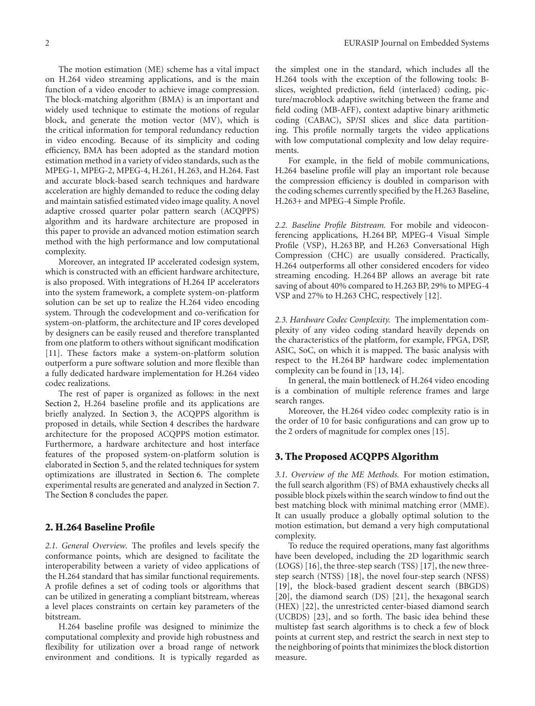The motion estimation (ME) scheme has a vital impact on H.264 video streaming applications, and is the main function of a video encoder to achieve image compression. The block-matching algorithm (BMA) is an important and widely used technique to estimate the motions of regular block, and generate the motion vector (MV), which is the critical information for temporal redundancy reduction in video encoding. Because of its simplicity and coding efficiency, BMA has been adopted as the standard motion estimation method in a variety of video standards, such as the MPEG-1, MPEG-2, MPEG-4, H.261, H.263, and H.264. Fast and accurate block-based search techniques and hardware acceleration are highly demanded to reduce the coding delay and maintain satisfied estimated video image quality. A novel adaptive crossed quarter polar pattern search (ACQPPS) algorithm and its hardware architecture are proposed in this paper to provide an advanced motion estimation search method with the high performance and low computational complexity.

Moreover, an integrated IP accelerated codesign system, which is constructed with an efficient hardware architecture, is also proposed. With integrations of H.264 IP accelerators into the system framework, a complete system-on-platform solution can be set up to realize the H.264 video encoding system. Through the codevelopment and co-verification for system-on-platform, the architecture and IP cores developed by designers can be easily reused and therefore transplanted from one platform to others without significant modification [11]. These factors make a system-on-platform solution outperform a pure software solution and more flexible than a fully dedicated hardware implementation for H.264 video codec realizations.

The rest of paper is organized as follows: in the next Section 2, H.264 baseline profile and its applications are briefly analyzed. In Section 3, the ACQPPS algorithm is proposed in details, while Section 4 describes the hardware architecture for the proposed ACQPPS motion estimator. Furthermore, a hardware architecture and host interface features of the proposed system-on-platform solution is elaborated in Section 5, and the related techniques for system optimizations are illustrated in Section 6. The complete experimental results are generated and analyzed in Section 7. The Section 8 concludes the paper.

#### **2. H.264 Baseline Profile**

*2.1. General Overview.* The profiles and levels specify the conformance points, which are designed to facilitate the interoperability between a variety of video applications of the H.264 standard that has similar functional requirements. A profile defines a set of coding tools or algorithms that can be utilized in generating a compliant bitstream, whereas a level places constraints on certain key parameters of the bitstream.

H.264 baseline profile was designed to minimize the computational complexity and provide high robustness and flexibility for utilization over a broad range of network environment and conditions. It is typically regarded as

the simplest one in the standard, which includes all the H.264 tools with the exception of the following tools: Bslices, weighted prediction, field (interlaced) coding, picture/macroblock adaptive switching between the frame and field coding (MB-AFF), context adaptive binary arithmetic coding (CABAC), SP/SI slices and slice data partitioning. This profile normally targets the video applications with low computational complexity and low delay requirements.

For example, in the field of mobile communications, H.264 baseline profile will play an important role because the compression efficiency is doubled in comparison with the coding schemes currently specified by the H.263 Baseline, H.263+ and MPEG-4 Simple Profile.

*2.2. Baseline Profile Bitstream.* For mobile and videoconferencing applications, H.264 BP, MPEG-4 Visual Simple Profile (VSP), H.263 BP, and H.263 Conversational High Compression (CHC) are usually considered. Practically, H.264 outperforms all other considered encoders for video streaming encoding. H.264 BP allows an average bit rate saving of about 40% compared to H.263 BP, 29% to MPEG-4 VSP and 27% to H.263 CHC, respectively [12].

*2.3. Hardware Codec Complexity.* The implementation complexity of any video coding standard heavily depends on the characteristics of the platform, for example, FPGA, DSP, ASIC, SoC, on which it is mapped. The basic analysis with respect to the H.264 BP hardware codec implementation complexity can be found in [13, 14].

In general, the main bottleneck of H.264 video encoding is a combination of multiple reference frames and large search ranges.

Moreover, the H.264 video codec complexity ratio is in the order of 10 for basic configurations and can grow up to the 2 orders of magnitude for complex ones [15].

## **3. The Proposed ACQPPS Algorithm**

*3.1. Overview of the ME Methods.* For motion estimation, the full search algorithm (FS) of BMA exhaustively checks all possible block pixels within the search window to find out the best matching block with minimal matching error (MME). It can usually produce a globally optimal solution to the motion estimation, but demand a very high computational complexity.

To reduce the required operations, many fast algorithms have been developed, including the 2D logarithmic search (LOGS) [16], the three-step search (TSS) [17], the new threestep search (NTSS) [18], the novel four-step search (NFSS) [19], the block-based gradient descent search (BBGDS) [20], the diamond search (DS) [21], the hexagonal search (HEX) [22], the unrestricted center-biased diamond search (UCBDS) [23], and so forth. The basic idea behind these multistep fast search algorithms is to check a few of block points at current step, and restrict the search in next step to the neighboring of points that minimizes the block distortion measure.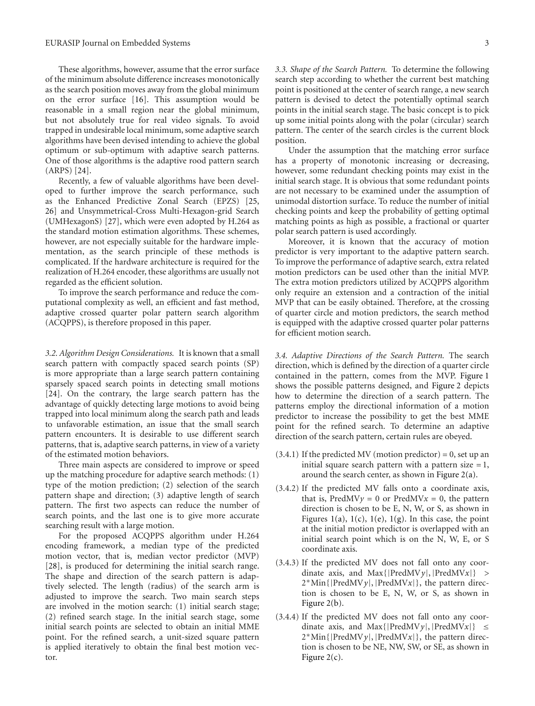These algorithms, however, assume that the error surface of the minimum absolute difference increases monotonically as the search position moves away from the global minimum on the error surface [16]. This assumption would be reasonable in a small region near the global minimum, but not absolutely true for real video signals. To avoid trapped in undesirable local minimum, some adaptive search algorithms have been devised intending to achieve the global optimum or sub-optimum with adaptive search patterns. One of those algorithms is the adaptive rood pattern search (ARPS) [24].

Recently, a few of valuable algorithms have been developed to further improve the search performance, such as the Enhanced Predictive Zonal Search (EPZS) [25, 26] and Unsymmetrical-Cross Multi-Hexagon-grid Search (UMHexagonS) [27], which were even adopted by H.264 as the standard motion estimation algorithms. These schemes, however, are not especially suitable for the hardware implementation, as the search principle of these methods is complicated. If the hardware architecture is required for the realization of H.264 encoder, these algorithms are usually not regarded as the efficient solution.

To improve the search performance and reduce the computational complexity as well, an efficient and fast method, adaptive crossed quarter polar pattern search algorithm (ACQPPS), is therefore proposed in this paper.

*3.2. Algorithm Design Considerations.* It is known that a small search pattern with compactly spaced search points (SP) is more appropriate than a large search pattern containing sparsely spaced search points in detecting small motions [24]. On the contrary, the large search pattern has the advantage of quickly detecting large motions to avoid being trapped into local minimum along the search path and leads to unfavorable estimation, an issue that the small search pattern encounters. It is desirable to use different search patterns, that is, adaptive search patterns, in view of a variety of the estimated motion behaviors.

Three main aspects are considered to improve or speed up the matching procedure for adaptive search methods: (1) type of the motion prediction; (2) selection of the search pattern shape and direction; (3) adaptive length of search pattern. The first two aspects can reduce the number of search points, and the last one is to give more accurate searching result with a large motion.

For the proposed ACQPPS algorithm under H.264 encoding framework, a median type of the predicted motion vector, that is, median vector predictor (MVP) [28], is produced for determining the initial search range. The shape and direction of the search pattern is adaptively selected. The length (radius) of the search arm is adjusted to improve the search. Two main search steps are involved in the motion search: (1) initial search stage; (2) refined search stage. In the initial search stage, some initial search points are selected to obtain an initial MME point. For the refined search, a unit-sized square pattern is applied iteratively to obtain the final best motion vector.

*3.3. Shape of the Search Pattern.* To determine the following search step according to whether the current best matching point is positioned at the center of search range, a new search pattern is devised to detect the potentially optimal search points in the initial search stage. The basic concept is to pick up some initial points along with the polar (circular) search pattern. The center of the search circles is the current block position.

Under the assumption that the matching error surface has a property of monotonic increasing or decreasing, however, some redundant checking points may exist in the initial search stage. It is obvious that some redundant points are not necessary to be examined under the assumption of unimodal distortion surface. To reduce the number of initial checking points and keep the probability of getting optimal matching points as high as possible, a fractional or quarter polar search pattern is used accordingly.

Moreover, it is known that the accuracy of motion predictor is very important to the adaptive pattern search. To improve the performance of adaptive search, extra related motion predictors can be used other than the initial MVP. The extra motion predictors utilized by ACQPPS algorithm only require an extension and a contraction of the initial MVP that can be easily obtained. Therefore, at the crossing of quarter circle and motion predictors, the search method is equipped with the adaptive crossed quarter polar patterns for efficient motion search.

*3.4. Adaptive Directions of the Search Pattern.* The search direction, which is defined by the direction of a quarter circle contained in the pattern, comes from the MVP. Figure 1 shows the possible patterns designed, and Figure 2 depicts how to determine the direction of a search pattern. The patterns employ the directional information of a motion predictor to increase the possibility to get the best MME point for the refined search. To determine an adaptive direction of the search pattern, certain rules are obeyed.

- $(3.4.1)$  If the predicted MV (motion predictor) = 0, set up an initial square search pattern with a pattern size  $= 1$ , around the search center, as shown in Figure 2(a).
- (3.4.2) If the predicted MV falls onto a coordinate axis, that is, PredMV $y = 0$  or PredMV $x = 0$ , the pattern direction is chosen to be E, N, W, or S, as shown in Figures 1(a), 1(c), 1(e), 1(g). In this case, the point at the initial motion predictor is overlapped with an initial search point which is on the N, W, E, or S coordinate axis.
- (3.4.3) If the predicted MV does not fall onto any coordinate axis, and Max{|PredMV*y*|,|PredMV*x*|} *>* 2<sup>∗</sup>Min{|PredMV*y*|,|PredMV*x*|}, the pattern direction is chosen to be E, N, W, or S, as shown in Figure 2(b).
- (3.4.4) If the predicted MV does not fall onto any coordinate axis, and Max $\{|\text{PredMV}_y|, |\text{PredMV}_x|\} \le$ 2<sup>∗</sup>Min{|PredMV*y*|,|PredMV*x*|}, the pattern direction is chosen to be NE, NW, SW, or SE, as shown in Figure 2(c).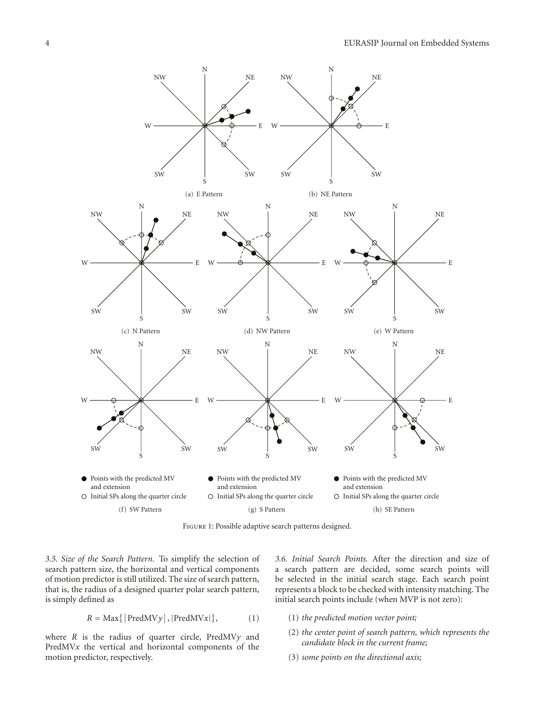

Figure 1: Possible adaptive search patterns designed.

*3.5. Size of the Search Pattern.* To simplify the selection of search pattern size, the horizontal and vertical components of motion predictor is still utilized. The size of search pattern, that is, the radius of a designed quarter polar search pattern, is simply defined as

$$
R = \text{Max}\{|\text{PredMVy}|, |\text{PredMVx}|\},\tag{1}
$$

where *R* is the radius of quarter circle, PredMV*y* and PredMV*x* the vertical and horizontal components of the motion predictor, respectively.

*3.6. Initial Search Points.* After the direction and size of a search pattern are decided, some search points will be selected in the initial search stage. Each search point represents a block to be checked with intensity matching. The initial search points include (when MVP is not zero):

- (1) *the predicted motion vector point;*
- (2) *the center point of search pattern, which represents the candidate block in the current frame;*
- (3) *some points on the directional axis;*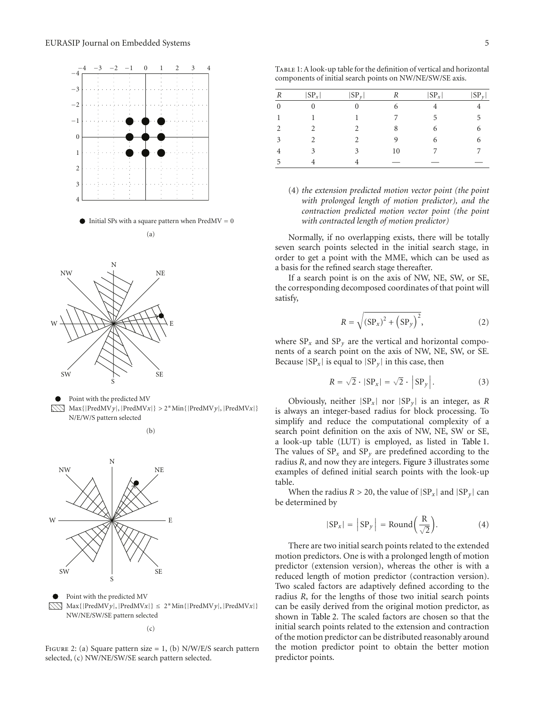

(a)



Point with the predicted MV  $\sum$  Max{|PredMV*y*|, |PredMV*x*|} > 2<sup>\*</sup>Min{|PredMV*y*|, |PredMV*x*|} N/E/W/S pattern selected





Point with the predicted MV  $\sum_{x} \text{Max}\{|{\text{PredMV}_y}|,|{\text{PredMV}_x}|\} \leq 2^* \text{Min}\{|{\text{PredMV}_y}|,|{\text{PredMV}_x}|\}$ NW/NE/SW/SE pattern selected



FIGURE 2: (a) Square pattern size = 1, (b)  $N/W/E/S$  search pattern selected, (c) NW/NE/SW/SE search pattern selected.

TABLE 1: A look-up table for the definition of vertical and horizontal components of initial search points on NW/NE/SW/SE axis.

| $\boldsymbol{R}$ | $ SP_x $ | $ SP_{\nu} $ | R  | $ SP_x $ | $ SP_y $ |
|------------------|----------|--------------|----|----------|----------|
| $\mathbf{0}$     | 0        |              |    |          |          |
| 1                |          |              |    | 5        | ц        |
| $\overline{2}$   |          | 7            |    | 6        |          |
| 3                |          | 7            | 9  | 6        |          |
| $\overline{4}$   | 3        | 3            | 10 |          |          |
| 5                |          |              |    |          |          |

(4) *the extension predicted motion vector point (the point with prolonged length of motion predictor), and the contraction predicted motion vector point (the point with contracted length of motion predictor)*

Normally, if no overlapping exists, there will be totally seven search points selected in the initial search stage, in order to get a point with the MME, which can be used as a basis for the refined search stage thereafter.

If a search point is on the axis of NW, NE, SW, or SE, the corresponding decomposed coordinates of that point will satisfy,

$$
R = \sqrt{\left(\text{SP}_x\right)^2 + \left(\text{SP}_y\right)^2},\tag{2}
$$

where  $SP_x$  and  $SP_y$  are the vertical and horizontal components of a search point on the axis of NW, NE, SW, or SE. Because  $|SP_x|$  is equal to  $|SP_y|$  in this case, then

$$
R = \sqrt{2} \cdot |SP_x| = \sqrt{2} \cdot |SP_y|.
$$
 (3)

Obviously, neither  $|SP_x|$  nor  $|SP_y|$  is an integer, as *R* is always an integer-based radius for block processing. To simplify and reduce the computational complexity of a search point definition on the axis of NW, NE, SW or SE, a look-up table (LUT) is employed, as listed in Table 1. The values of  $SP_x$  and  $SP_y$  are predefined according to the radius *R*, and now they are integers. Figure 3 illustrates some examples of defined initial search points with the look-up table.

When the radius  $R > 20$ , the value of  $|SP_x|$  and  $|SP_y|$  can be determined by

$$
|SP_x| = |SP_y| = \text{Round}\left(\frac{R}{\sqrt{2}}\right). \tag{4}
$$

There are two initial search points related to the extended motion predictors. One is with a prolonged length of motion predictor (extension version), whereas the other is with a reduced length of motion predictor (contraction version). Two scaled factors are adaptively defined according to the radius *R*, for the lengths of those two initial search points can be easily derived from the original motion predictor, as shown in Table 2. The scaled factors are chosen so that the initial search points related to the extension and contraction of the motion predictor can be distributed reasonably around the motion predictor point to obtain the better motion predictor points.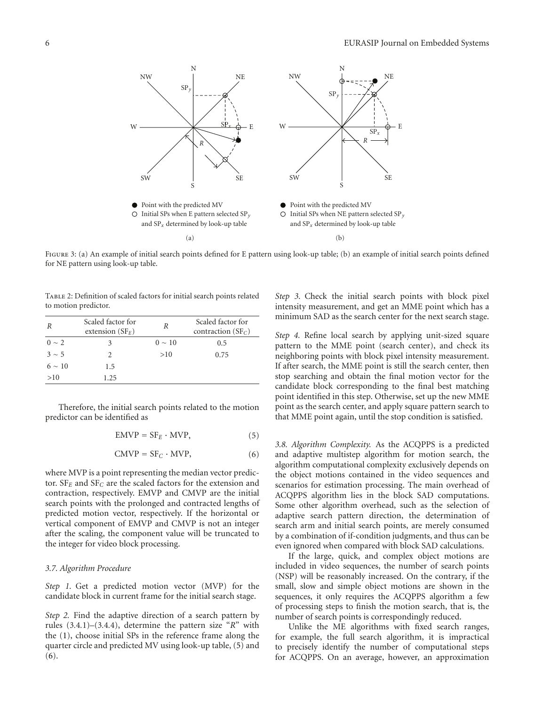

Figure 3: (a) An example of initial search points defined for E pattern using look-up table; (b) an example of initial search points defined for NE pattern using look-up table.

Table 2: Definition of scaled factors for initial search points related to motion predictor.

| R           | Scaled factor for<br>extension $(SF_E)$ | R           | Scaled factor for<br>contraction $(SF_C)$ |
|-------------|-----------------------------------------|-------------|-------------------------------------------|
| $0 \sim 2$  | 3                                       | $0 \sim 10$ | 0.5                                       |
| $3 \sim 5$  | $\mathcal{P}$                           | >10         | 0.75                                      |
| $6 \sim 10$ | 1.5                                     |             |                                           |
| >10         | 1.25                                    |             |                                           |

Therefore, the initial search points related to the motion predictor can be identified as

$$
EMVP = SF_E \cdot MVP,
$$
 (5)

$$
CMVP = SF_C \cdot MVP,
$$
 (6)

where MVP is a point representing the median vector predictor. SF*<sup>E</sup>* and SF*<sup>C</sup>* are the scaled factors for the extension and contraction, respectively. EMVP and CMVP are the initial search points with the prolonged and contracted lengths of predicted motion vector, respectively. If the horizontal or vertical component of EMVP and CMVP is not an integer after the scaling, the component value will be truncated to the integer for video block processing.

#### *3.7. Algorithm Procedure*

*Step 1.* Get a predicted motion vector (MVP) for the candidate block in current frame for the initial search stage.

*Step 2.* Find the adaptive direction of a search pattern by rules (3*.*4*.*1)–(3*.*4*.*4), determine the pattern size "*R*" with the (1), choose initial SPs in the reference frame along the quarter circle and predicted MV using look-up table, (5) and (6).

*Step 3.* Check the initial search points with block pixel intensity measurement, and get an MME point which has a minimum SAD as the search center for the next search stage.

*Step 4.* Refine local search by applying unit-sized square pattern to the MME point (search center), and check its neighboring points with block pixel intensity measurement. If after search, the MME point is still the search center, then stop searching and obtain the final motion vector for the candidate block corresponding to the final best matching point identified in this step. Otherwise, set up the new MME point as the search center, and apply square pattern search to that MME point again, until the stop condition is satisfied.

*3.8. Algorithm Complexity.* As the ACQPPS is a predicted and adaptive multistep algorithm for motion search, the algorithm computational complexity exclusively depends on the object motions contained in the video sequences and scenarios for estimation processing. The main overhead of ACQPPS algorithm lies in the block SAD computations. Some other algorithm overhead, such as the selection of adaptive search pattern direction, the determination of search arm and initial search points, are merely consumed by a combination of if-condition judgments, and thus can be even ignored when compared with block SAD calculations.

If the large, quick, and complex object motions are included in video sequences, the number of search points (NSP) will be reasonably increased. On the contrary, if the small, slow and simple object motions are shown in the sequences, it only requires the ACQPPS algorithm a few of processing steps to finish the motion search, that is, the number of search points is correspondingly reduced.

Unlike the ME algorithms with fixed search ranges, for example, the full search algorithm, it is impractical to precisely identify the number of computational steps for ACQPPS. On an average, however, an approximation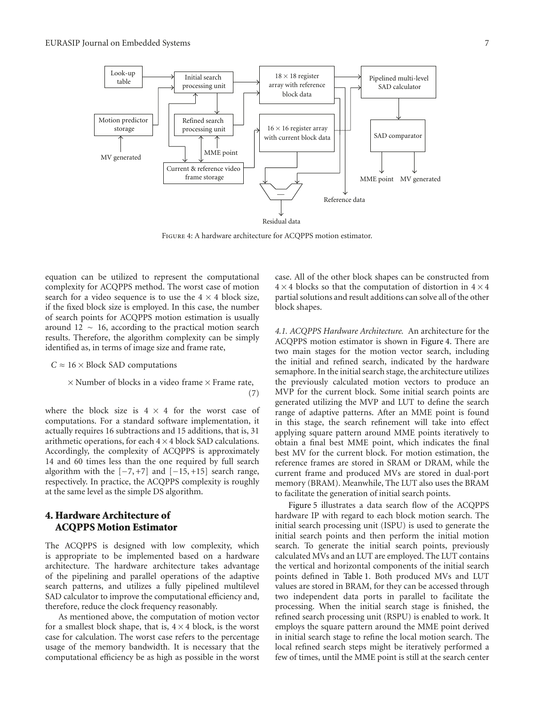

FIGURE 4: A hardware architecture for ACQPPS motion estimator.

equation can be utilized to represent the computational complexity for ACQPPS method. The worst case of motion search for a video sequence is to use the  $4 \times 4$  block size, if the fixed block size is employed. In this case, the number of search points for ACQPPS motion estimation is usually around 12 ∼ 16, according to the practical motion search results. Therefore, the algorithm complexity can be simply identified as, in terms of image size and frame rate,

 $C \approx 16 \times$  Block SAD computations

 $\times$  Number of blocks in a video frame  $\times$  Frame rate, (7)

where the block size is  $4 \times 4$  for the worst case of computations. For a standard software implementation, it actually requires 16 subtractions and 15 additions, that is, 31 arithmetic operations, for each  $4 \times 4$  block SAD calculations. Accordingly, the complexity of ACQPPS is approximately 14 and 60 times less than the one required by full search algorithm with the  $[-7, +7]$  and  $[-15, +15]$  search range, respectively. In practice, the ACQPPS complexity is roughly at the same level as the simple DS algorithm.

## **4. Hardware Architecture of ACQPPS Motion Estimator**

The ACQPPS is designed with low complexity, which is appropriate to be implemented based on a hardware architecture. The hardware architecture takes advantage of the pipelining and parallel operations of the adaptive search patterns, and utilizes a fully pipelined multilevel SAD calculator to improve the computational efficiency and, therefore, reduce the clock frequency reasonably.

As mentioned above, the computation of motion vector for a smallest block shape, that is,  $4 \times 4$  block, is the worst case for calculation. The worst case refers to the percentage usage of the memory bandwidth. It is necessary that the computational efficiency be as high as possible in the worst

case. All of the other block shapes can be constructed from  $4 \times 4$  blocks so that the computation of distortion in  $4 \times 4$ partial solutions and result additions can solve all of the other block shapes.

*4.1. ACQPPS Hardware Architecture.* An architecture for the ACQPPS motion estimator is shown in Figure 4. There are two main stages for the motion vector search, including the initial and refined search, indicated by the hardware semaphore. In the initial search stage, the architecture utilizes the previously calculated motion vectors to produce an MVP for the current block. Some initial search points are generated utilizing the MVP and LUT to define the search range of adaptive patterns. After an MME point is found in this stage, the search refinement will take into effect applying square pattern around MME points iteratively to obtain a final best MME point, which indicates the final best MV for the current block. For motion estimation, the reference frames are stored in SRAM or DRAM, while the current frame and produced MVs are stored in dual-port memory (BRAM). Meanwhile, The LUT also uses the BRAM to facilitate the generation of initial search points.

Figure 5 illustrates a data search flow of the ACQPPS hardware IP with regard to each block motion search. The initial search processing unit (ISPU) is used to generate the initial search points and then perform the initial motion search. To generate the initial search points, previously calculated MVs and an LUT are employed. The LUT contains the vertical and horizontal components of the initial search points defined in Table 1. Both produced MVs and LUT values are stored in BRAM, for they can be accessed through two independent data ports in parallel to facilitate the processing. When the initial search stage is finished, the refined search processing unit (RSPU) is enabled to work. It employs the square pattern around the MME point derived in initial search stage to refine the local motion search. The local refined search steps might be iteratively performed a few of times, until the MME point is still at the search center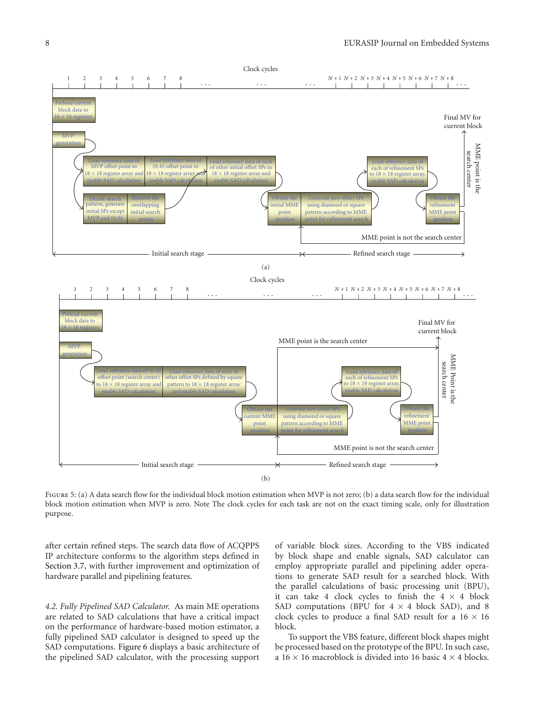

FIGURE 5: (a) A data search flow for the individual block motion estimation when MVP is not zero; (b) a data search flow for the individual block motion estimation when MVP is zero. Note The clock cycles for each task are not on the exact timing scale, only for illustration purpose.

after certain refined steps. The search data flow of ACQPPS IP architecture conforms to the algorithm steps defined in Section 3.7, with further improvement and optimization of hardware parallel and pipelining features.

*4.2. Fully Pipelined SAD Calculator.* As main ME operations are related to SAD calculations that have a critical impact on the performance of hardware-based motion estimator, a fully pipelined SAD calculator is designed to speed up the SAD computations. Figure 6 displays a basic architecture of the pipelined SAD calculator, with the processing support

of variable block sizes. According to the VBS indicated by block shape and enable signals, SAD calculator can employ appropriate parallel and pipelining adder operations to generate SAD result for a searched block. With the parallel calculations of basic processing unit (BPU), it can take 4 clock cycles to finish the  $4 \times 4$  block SAD computations (BPU for  $4 \times 4$  block SAD), and 8 clock cycles to produce a final SAD result for a  $16 \times 16$ block.

To support the VBS feature, different block shapes might be processed based on the prototype of the BPU. In such case, a  $16 \times 16$  macroblock is divided into 16 basic  $4 \times 4$  blocks.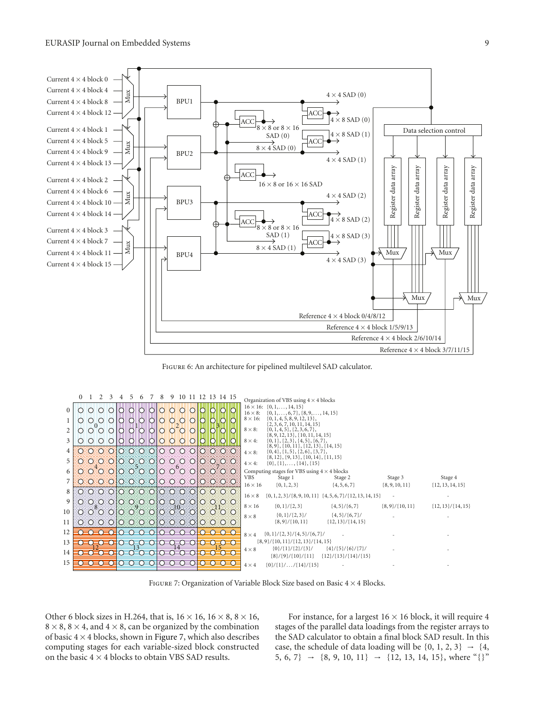

Figure 6: An architecture for pipelined multilevel SAD calculator.



FIGURE 7: Organization of Variable Block Size based on Basic  $4 \times 4$  Blocks.

Other 6 block sizes in H.264, that is,  $16 \times 16$ ,  $16 \times 8$ ,  $8 \times 16$ ,  $8 \times 8$ ,  $8 \times 4$ , and  $4 \times 8$ , can be organized by the combination of basic  $4 \times 4$  blocks, shown in Figure 7, which also describes computing stages for each variable-sized block constructed on the basic  $4 \times 4$  blocks to obtain VBS SAD results.

For instance, for a largest  $16 \times 16$  block, it will require 4 stages of the parallel data loadings from the register arrays to the SAD calculator to obtain a final block SAD result. In this case, the schedule of data loading will be  $\{0, 1, 2, 3\} \rightarrow \{4,$ 5, 6, 7}  $\rightarrow$  {8, 9, 10, 11}  $\rightarrow$  {12, 13, 14, 15}, where "{}"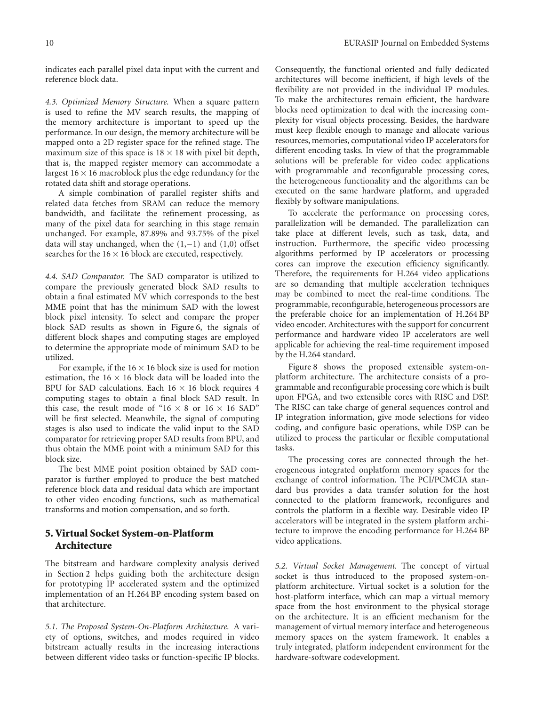indicates each parallel pixel data input with the current and reference block data.

*4.3. Optimized Memory Structure.* When a square pattern is used to refine the MV search results, the mapping of the memory architecture is important to speed up the performance. In our design, the memory architecture will be mapped onto a 2D register space for the refined stage. The maximum size of this space is  $18 \times 18$  with pixel bit depth, that is, the mapped register memory can accommodate a largest  $16 \times 16$  macroblock plus the edge redundancy for the rotated data shift and storage operations.

A simple combination of parallel register shifts and related data fetches from SRAM can reduce the memory bandwidth, and facilitate the refinement processing, as many of the pixel data for searching in this stage remain unchanged. For example, 87.89% and 93.75% of the pixel data will stay unchanged, when the (1,−1) and (1,0) offset searches for the  $16 \times 16$  block are executed, respectively.

*4.4. SAD Comparator.* The SAD comparator is utilized to compare the previously generated block SAD results to obtain a final estimated MV which corresponds to the best MME point that has the minimum SAD with the lowest block pixel intensity. To select and compare the proper block SAD results as shown in Figure 6, the signals of different block shapes and computing stages are employed to determine the appropriate mode of minimum SAD to be utilized.

For example, if the  $16 \times 16$  block size is used for motion estimation, the  $16 \times 16$  block data will be loaded into the BPU for SAD calculations. Each  $16 \times 16$  block requires 4 computing stages to obtain a final block SAD result. In this case, the result mode of "16  $\times$  8 or 16  $\times$  16 SAD" will be first selected. Meanwhile, the signal of computing stages is also used to indicate the valid input to the SAD comparator for retrieving proper SAD results from BPU, and thus obtain the MME point with a minimum SAD for this block size.

The best MME point position obtained by SAD comparator is further employed to produce the best matched reference block data and residual data which are important to other video encoding functions, such as mathematical transforms and motion compensation, and so forth.

## **5. Virtual Socket System-on-Platform Architecture**

The bitstream and hardware complexity analysis derived in Section 2 helps guiding both the architecture design for prototyping IP accelerated system and the optimized implementation of an H.264 BP encoding system based on that architecture.

*5.1. The Proposed System-On-Platform Architecture.* A variety of options, switches, and modes required in video bitstream actually results in the increasing interactions between different video tasks or function-specific IP blocks.

Consequently, the functional oriented and fully dedicated architectures will become inefficient, if high levels of the flexibility are not provided in the individual IP modules. To make the architectures remain efficient, the hardware blocks need optimization to deal with the increasing complexity for visual objects processing. Besides, the hardware must keep flexible enough to manage and allocate various resources, memories, computational video IP accelerators for different encoding tasks. In view of that the programmable solutions will be preferable for video codec applications with programmable and reconfigurable processing cores, the heterogeneous functionality and the algorithms can be executed on the same hardware platform, and upgraded flexibly by software manipulations.

To accelerate the performance on processing cores, parallelization will be demanded. The parallelization can take place at different levels, such as task, data, and instruction. Furthermore, the specific video processing algorithms performed by IP accelerators or processing cores can improve the execution efficiency significantly. Therefore, the requirements for H.264 video applications are so demanding that multiple acceleration techniques may be combined to meet the real-time conditions. The programmable, reconfigurable, heterogeneous processors are the preferable choice for an implementation of H.264 BP video encoder. Architectures with the support for concurrent performance and hardware video IP accelerators are well applicable for achieving the real-time requirement imposed by the H.264 standard.

Figure 8 shows the proposed extensible system-onplatform architecture. The architecture consists of a programmable and reconfigurable processing core which is built upon FPGA, and two extensible cores with RISC and DSP. The RISC can take charge of general sequences control and IP integration information, give mode selections for video coding, and configure basic operations, while DSP can be utilized to process the particular or flexible computational tasks.

The processing cores are connected through the heterogeneous integrated onplatform memory spaces for the exchange of control information. The PCI/PCMCIA standard bus provides a data transfer solution for the host connected to the platform framework, reconfigures and controls the platform in a flexible way. Desirable video IP accelerators will be integrated in the system platform architecture to improve the encoding performance for H.264 BP video applications.

*5.2. Virtual Socket Management.* The concept of virtual socket is thus introduced to the proposed system-onplatform architecture. Virtual socket is a solution for the host-platform interface, which can map a virtual memory space from the host environment to the physical storage on the architecture. It is an efficient mechanism for the management of virtual memory interface and heterogeneous memory spaces on the system framework. It enables a truly integrated, platform independent environment for the hardware-software codevelopment.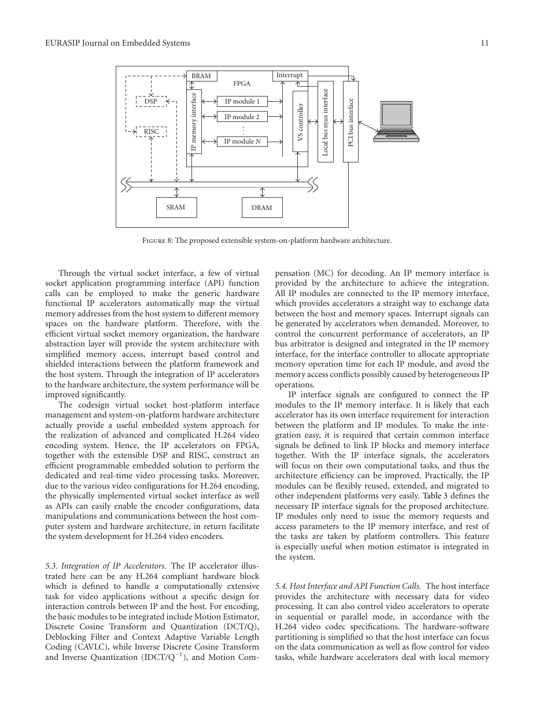

Figure 8: The proposed extensible system-on-platform hardware architecture.

Through the virtual socket interface, a few of virtual socket application programming interface (API) function calls can be employed to make the generic hardware functional IP accelerators automatically map the virtual memory addresses from the host system to different memory spaces on the hardware platform. Therefore, with the efficient virtual socket memory organization, the hardware abstraction layer will provide the system architecture with simplified memory access, interrupt based control and shielded interactions between the platform framework and the host system. Through the integration of IP accelerators to the hardware architecture, the system performance will be improved significantly.

The codesign virtual socket host-platform interface management and system-on-platform hardware architecture actually provide a useful embedded system approach for the realization of advanced and complicated H.264 video encoding system. Hence, the IP accelerators on FPGA, together with the extensible DSP and RISC, construct an efficient programmable embedded solution to perform the dedicated and real-time video processing tasks. Moreover, due to the various video configurations for H.264 encoding, the physically implemented virtual socket interface as well as APIs can easily enable the encoder configurations, data manipulations and communications between the host computer system and hardware architecture, in return facilitate the system development for H.264 video encoders.

*5.3. Integration of IP Accelerators.* The IP accelerator illustrated here can be any H.264 compliant hardware block which is defined to handle a computationally extensive task for video applications without a specific design for interaction controls between IP and the host. For encoding, the basic modules to be integrated include Motion Estimator, Discrete Cosine Transform and Quantization (DCT/Q), Deblocking Filter and Context Adaptive Variable Length Coding (CAVLC), while Inverse Discrete Cosine Transform and Inverse Quantization (IDCT*/*Q−<sup>1</sup> ), and Motion Compensation (MC) for decoding. An IP memory interface is provided by the architecture to achieve the integration. All IP modules are connected to the IP memory interface, which provides accelerators a straight way to exchange data between the host and memory spaces. Interrupt signals can be generated by accelerators when demanded. Moreover, to control the concurrent performance of accelerators, an IP bus arbitrator is designed and integrated in the IP memory interface, for the interface controller to allocate appropriate memory operation time for each IP module, and avoid the memory access conflicts possibly caused by heterogeneous IP operations.

IP interface signals are configured to connect the IP modules to the IP memory interface. It is likely that each accelerator has its own interface requirement for interaction between the platform and IP modules. To make the integration easy, it is required that certain common interface signals be defined to link IP blocks and memory interface together. With the IP interface signals, the accelerators will focus on their own computational tasks, and thus the architecture efficiency can be improved. Practically, the IP modules can be flexibly reused, extended, and migrated to other independent platforms very easily. Table 3 defines the necessary IP interface signals for the proposed architecture. IP modules only need to issue the memory requests and access parameters to the IP memory interface, and rest of the tasks are taken by platform controllers. This feature is especially useful when motion estimator is integrated in the system.

*5.4. Host Interface and API Function Calls.* The host interface provides the architecture with necessary data for video processing. It can also control video accelerators to operate in sequential or parallel mode, in accordance with the H.264 video codec specifications. The hardware-software partitioning is simplified so that the host interface can focus on the data communication as well as flow control for video tasks, while hardware accelerators deal with local memory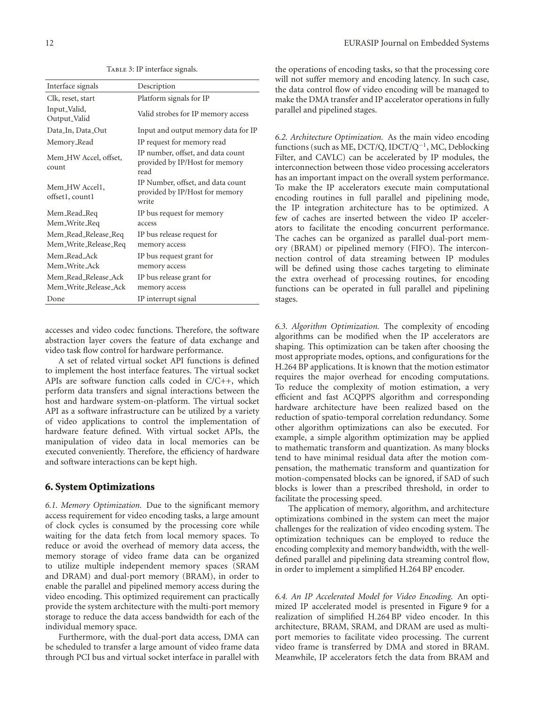TABLE 3: IP interface signals.

| Interface signals                             | Description                                                                  |
|-----------------------------------------------|------------------------------------------------------------------------------|
| Clk, reset, start                             | Platform signals for IP                                                      |
| Input_Valid,<br>Output_Valid                  | Valid strobes for IP memory access                                           |
| Data_In, Data_Out                             | Input and output memory data for IP                                          |
| Memory_Read                                   | IP request for memory read                                                   |
| Mem_HW Accel, offset,<br>count                | IP number, offset, and data count<br>provided by IP/Host for memory<br>read  |
| Mem_HW Accel1,<br>offset1, count1             | IP Number, offset, and data count<br>provided by IP/Host for memory<br>write |
| Mem_Read_Req<br>Mem_Write_Req                 | IP bus request for memory<br>access                                          |
| Mem_Read_Release_Req<br>Mem_Write_Release_Req | IP bus release request for<br>memory access                                  |
| Mem Read Ack                                  | IP bus request grant for                                                     |
| Mem_Write_Ack                                 | memory access                                                                |
| Mem Read Release Ack                          | IP bus release grant for                                                     |
| Mem_Write_Release_Ack                         | memory access                                                                |
| Done                                          | IP interrupt signal                                                          |

accesses and video codec functions. Therefore, the software abstraction layer covers the feature of data exchange and video task flow control for hardware performance.

A set of related virtual socket API functions is defined to implement the host interface features. The virtual socket APIs are software function calls coded in C/C++, which perform data transfers and signal interactions between the host and hardware system-on-platform. The virtual socket API as a software infrastructure can be utilized by a variety of video applications to control the implementation of hardware feature defined. With virtual socket APIs, the manipulation of video data in local memories can be executed conveniently. Therefore, the efficiency of hardware and software interactions can be kept high.

## **6. System Optimizations**

*6.1. Memory Optimization.* Due to the significant memory access requirement for video encoding tasks, a large amount of clock cycles is consumed by the processing core while waiting for the data fetch from local memory spaces. To reduce or avoid the overhead of memory data access, the memory storage of video frame data can be organized to utilize multiple independent memory spaces (SRAM and DRAM) and dual-port memory (BRAM), in order to enable the parallel and pipelined memory access during the video encoding. This optimized requirement can practically provide the system architecture with the multi-port memory storage to reduce the data access bandwidth for each of the individual memory space.

Furthermore, with the dual-port data access, DMA can be scheduled to transfer a large amount of video frame data through PCI bus and virtual socket interface in parallel with

the operations of encoding tasks, so that the processing core will not suffer memory and encoding latency. In such case, the data control flow of video encoding will be managed to make the DMA transfer and IP accelerator operations in fully parallel and pipelined stages.

*6.2. Architecture Optimization.* As the main video encoding functions (such as ME, DCT/Q, IDCT/Q−1, MC, Deblocking Filter, and CAVLC) can be accelerated by IP modules, the interconnection between those video processing accelerators has an important impact on the overall system performance. To make the IP accelerators execute main computational encoding routines in full parallel and pipelining mode, the IP integration architecture has to be optimized. A few of caches are inserted between the video IP accelerators to facilitate the encoding concurrent performance. The caches can be organized as parallel dual-port memory (BRAM) or pipelined memory (FIFO). The interconnection control of data streaming between IP modules will be defined using those caches targeting to eliminate the extra overhead of processing routines, for encoding functions can be operated in full parallel and pipelining stages.

*6.3. Algorithm Optimization.* The complexity of encoding algorithms can be modified when the IP accelerators are shaping. This optimization can be taken after choosing the most appropriate modes, options, and configurations for the H.264 BP applications. It is known that the motion estimator requires the major overhead for encoding computations. To reduce the complexity of motion estimation, a very efficient and fast ACQPPS algorithm and corresponding hardware architecture have been realized based on the reduction of spatio-temporal correlation redundancy. Some other algorithm optimizations can also be executed. For example, a simple algorithm optimization may be applied to mathematic transform and quantization. As many blocks tend to have minimal residual data after the motion compensation, the mathematic transform and quantization for motion-compensated blocks can be ignored, if SAD of such blocks is lower than a prescribed threshold, in order to facilitate the processing speed.

The application of memory, algorithm, and architecture optimizations combined in the system can meet the major challenges for the realization of video encoding system. The optimization techniques can be employed to reduce the encoding complexity and memory bandwidth, with the welldefined parallel and pipelining data streaming control flow, in order to implement a simplified H.264 BP encoder.

*6.4. An IP Accelerated Model for Video Encoding.* An optimized IP accelerated model is presented in Figure 9 for a realization of simplified H.264 BP video encoder. In this architecture, BRAM, SRAM, and DRAM are used as multiport memories to facilitate video processing. The current video frame is transferred by DMA and stored in BRAM. Meanwhile, IP accelerators fetch the data from BRAM and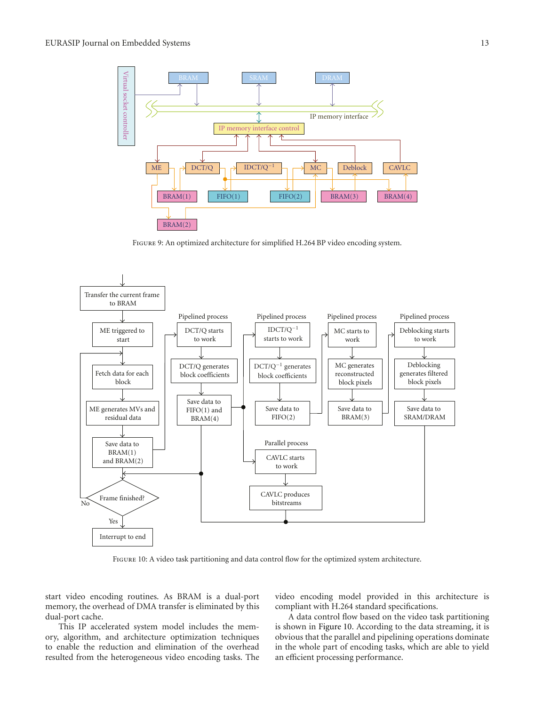

Figure 9: An optimized architecture for simplified H.264 BP video encoding system.



Figure 10: A video task partitioning and data control flow for the optimized system architecture.

start video encoding routines. As BRAM is a dual-port memory, the overhead of DMA transfer is eliminated by this dual-port cache.

This IP accelerated system model includes the memory, algorithm, and architecture optimization techniques to enable the reduction and elimination of the overhead resulted from the heterogeneous video encoding tasks. The

video encoding model provided in this architecture is compliant with H.264 standard specifications.

A data control flow based on the video task partitioning is shown in Figure 10. According to the data streaming, it is obvious that the parallel and pipelining operations dominate in the whole part of encoding tasks, which are able to yield an efficient processing performance.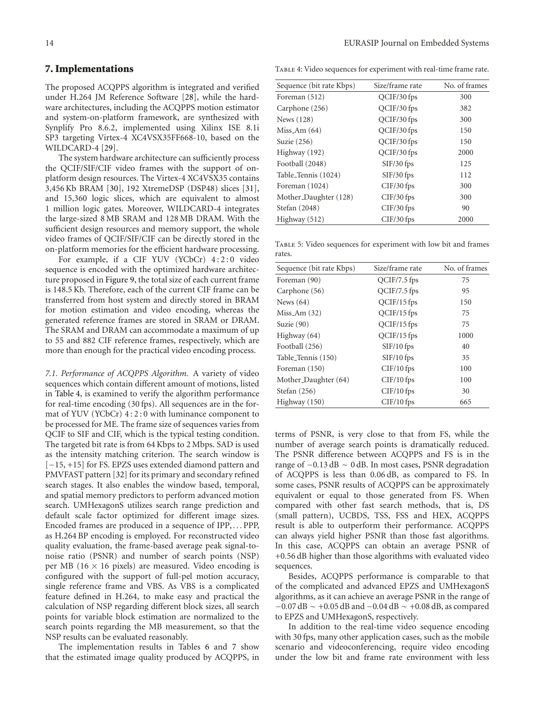## **7. Implementations**

The proposed ACQPPS algorithm is integrated and verified under H.264 JM Reference Software [28], while the hardware architectures, including the ACQPPS motion estimator and system-on-platform framework, are synthesized with Synplify Pro 8.6.2, implemented using Xilinx ISE 8.1i SP3 targeting Virtex-4 XC4VSX35FF668-10, based on the WILDCARD-4 [29].

The system hardware architecture can sufficiently process the QCIF/SIF/CIF video frames with the support of onplatform design resources. The Virtex-4 XC4VSX35 contains 3,456 Kb BRAM [30], 192 XtremeDSP (DSP48) slices [31], and 15,360 logic slices, which are equivalent to almost 1 million logic gates. Moreover, WILDCARD-4 integrates the large-sized 8 MB SRAM and 128 MB DRAM. With the sufficient design resources and memory support, the whole video frames of QCIF/SIF/CIF can be directly stored in the on-platform memories for the efficient hardware processing.

For example, if a CIF YUV (YCbCr) 4:2:0 video sequence is encoded with the optimized hardware architecture proposed in Figure 9, the total size of each current frame is 148.5 Kb. Therefore, each of the current CIF frame can be transferred from host system and directly stored in BRAM for motion estimation and video encoding, whereas the generated reference frames are stored in SRAM or DRAM. The SRAM and DRAM can accommodate a maximum of up to 55 and 882 CIF reference frames, respectively, which are more than enough for the practical video encoding process.

*7.1. Performance of ACQPPS Algorithm.* A variety of video sequences which contain different amount of motions, listed in Table 4, is examined to verify the algorithm performance for real-time encoding (30 fps). All sequences are in the format of YUV (YCbCr) 4:2:0 with luminance component to be processed for ME. The frame size of sequences varies from QCIF to SIF and CIF, which is the typical testing condition. The targeted bit rate is from 64 Kbps to 2 Mbps. SAD is used as the intensity matching criterion. The search window is [−15, +15] for FS. EPZS uses extended diamond pattern and PMVFAST pattern [32] for its primary and secondary refined search stages. It also enables the window based, temporal, and spatial memory predictors to perform advanced motion search. UMHexagonS utilizes search range prediction and default scale factor optimized for different image sizes. Encoded frames are produced in a sequence of IPP, *...* PPP, as H.264 BP encoding is employed. For reconstructed video quality evaluation, the frame-based average peak signal-tonoise ratio (PSNR) and number of search points (NSP) per MB (16  $\times$  16 pixels) are measured. Video encoding is configured with the support of full-pel motion accuracy, single reference frame and VBS. As VBS is a complicated feature defined in H.264, to make easy and practical the calculation of NSP regarding different block sizes, all search points for variable block estimation are normalized to the search points regarding the MB measurement, so that the NSP results can be evaluated reasonably.

The implementation results in Tables 6 and 7 show that the estimated image quality produced by ACQPPS, in

Table 4: Video sequences for experiment with real-time frame rate.

| Sequence (bit rate Kbps) | Size/frame rate | No. of frames |
|--------------------------|-----------------|---------------|
| Foreman (512)            | QCIF/30 fps     | 300           |
| Carphone (256)           | QCIF/30 fps     | 382           |
| News (128)               | QCIF/30 fps     | 300           |
| $Miss_Am(64)$            | QCIF/30 fps     | 150           |
| Suzie (256)              | QCIF/30 fps     | 150           |
| Highway (192)            | QCIF/30 fps     | 2000          |
| Football (2048)          | $SIF/30$ fps    | 125           |
| Table_Tennis (1024)      | $SIF/30$ fps    | 112           |
| Foreman (1024)           | $CIF/30$ fps    | 300           |
| Mother_Daughter (128)    | $CIF/30$ fps    | 300           |
| Stefan (2048)            | $CIF/30$ fps    | 90            |
| Highway $(512)$          | $CIF/30$ fps    | 2000          |

Table 5: Video sequences for experiment with low bit and frames rates.

| No. of frames<br>Size/frame rate |
|----------------------------------|
| $QCIF/7.5$ fps<br>75             |
| $QCIF/7.5$ fps<br>95             |
| QCIF/15 fps<br>150               |
| QCIF/15 fps<br>75                |
| QCIF/15 fps<br>75                |
| QCIF/15 fps<br>1000              |
| SIF/10 fps<br>40                 |
| $SIF/10$ fps<br>35               |
| $CIF/10$ fps<br>100              |
| $CIF/10$ fps<br>100              |
| $CIF/10$ fps<br>30               |
| $CIF/10$ fps<br>665              |
|                                  |

terms of PSNR, is very close to that from FS, while the number of average search points is dramatically reduced. The PSNR difference between ACQPPS and FS is in the range of −0*.*13 dB ∼ 0 dB. In most cases, PSNR degradation of ACQPPS is less than 0.06 dB, as compared to FS. In some cases, PSNR results of ACQPPS can be approximately equivalent or equal to those generated from FS. When compared with other fast search methods, that is, DS (small pattern), UCBDS, TSS, FSS and HEX, ACQPPS result is able to outperform their performance. ACQPPS can always yield higher PSNR than those fast algorithms. In this case, ACQPPS can obtain an average PSNR of +0*.*56 dB higher than those algorithms with evaluated video sequences.

Besides, ACQPPS performance is comparable to that of the complicated and advanced EPZS and UMHexagonS algorithms, as it can achieve an average PSNR in the range of −0*.*07 dB ∼ +0*.*05 dB and −0*.*04 dB ∼ +0*.*08 dB, as compared to EPZS and UMHexagonS, respectively.

In addition to the real-time video sequence encoding with 30 fps, many other application cases, such as the mobile scenario and videoconferencing, require video encoding under the low bit and frame rate environment with less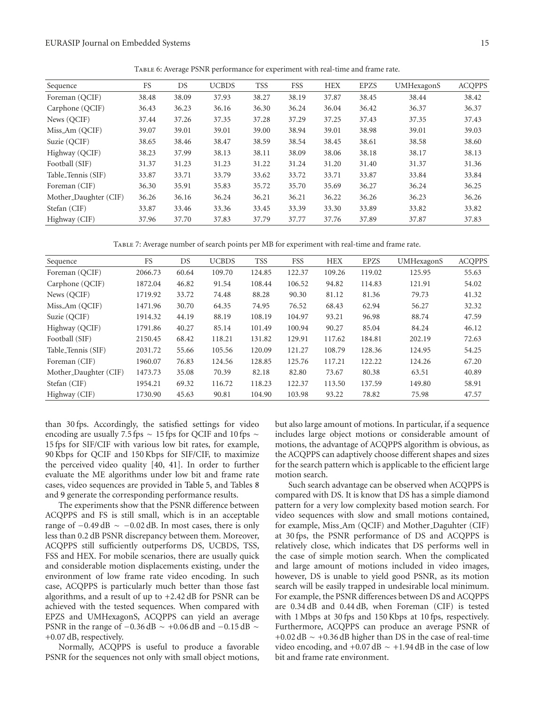Table 6: Average PSNR performance for experiment with real-time and frame rate.

| FS<br><b>TSS</b><br><b>UCBDS</b><br><b>FSS</b><br><b>HEX</b><br><b>EPZS</b><br>DS<br><b>UMHexagonS</b><br>Sequence | <b>ACOPPS</b><br>38.42 |
|--------------------------------------------------------------------------------------------------------------------|------------------------|
|                                                                                                                    |                        |
| Foreman (OCIF)<br>38.45<br>38.09<br>37.93<br>38.27<br>38.19<br>37.87<br>38.44<br>38.48                             |                        |
| Carphone (QCIF)<br>36.23<br>36.24<br>36.04<br>36.42<br>36.43<br>36.16<br>36.30<br>36.37                            | 36.37                  |
| News (OCIF)<br>37.29<br>37.25<br>37.43<br>37.26<br>37.35<br>37.28<br>37.35<br>37.44                                | 37.43                  |
| Miss_Am (QCIF)<br>39.00<br>38.94<br>39.01<br>38.98<br>39.07<br>39.01<br>39.01<br>39.01                             | 39.03                  |
| Suzie (OCIF)<br>38.54<br>38.45<br>38.61<br>38.65<br>38.47<br>38.59<br>38.58<br>38.46                               | 38.60                  |
| Highway (QCIF)<br>38.23<br>37.99<br>38.13<br>38.11<br>38.09<br>38.06<br>38.18<br>38.17                             | 38.13                  |
| Football (SIF)<br>31.37<br>31.23<br>31.23<br>31.22<br>31.24<br>31.20<br>31.40<br>31.37                             | 31.36                  |
| Table_Tennis (SIF)<br>33.71<br>33.79<br>33.62<br>33.72<br>33.71<br>33.87<br>33.87<br>33.84                         | 33.84                  |
| 35.72<br>35.70<br>35.69<br>Foreman (CIF)<br>36.30<br>35.91<br>35.83<br>36.27<br>36.24                              | 36.25                  |
| Mother_Daughter (CIF)<br>36.21<br>36.21<br>36.22<br>36.26<br>36.26<br>36.16<br>36.24<br>36.23                      | 36.26                  |
| Stefan (CIF)<br>33.45<br>33.39<br>33.30<br>33.89<br>33.87<br>33.46<br>33.36<br>33.82                               | 33.82                  |
| Highway (CIF)<br>37.70<br>37.83<br>37.79<br>37.77<br>37.76<br>37.89<br>37.96<br>37.87                              | 37.83                  |

Table 7: Average number of search points per MB for experiment with real-time and frame rate.

| Sequence              | FS      | DS    | <b>UCBDS</b> | <b>TSS</b> | FSS    | <b>HEX</b> | <b>EPZS</b> | <b>UMHexagonS</b> | <b>ACQPPS</b> |
|-----------------------|---------|-------|--------------|------------|--------|------------|-------------|-------------------|---------------|
| Foreman (OCIF)        | 2066.73 | 60.64 | 109.70       | 124.85     | 122.37 | 109.26     | 119.02      | 125.95            | 55.63         |
| Carphone (QCIF)       | 1872.04 | 46.82 | 91.54        | 108.44     | 106.52 | 94.82      | 114.83      | 121.91            | 54.02         |
| News (OCIF)           | 1719.92 | 33.72 | 74.48        | 88.28      | 90.30  | 81.12      | 81.36       | 79.73             | 41.32         |
| Miss_Am (QCIF)        | 1471.96 | 30.70 | 64.35        | 74.95      | 76.52  | 68.43      | 62.94       | 56.27             | 32.32         |
| Suzie (OCIF)          | 1914.32 | 44.19 | 88.19        | 108.19     | 104.97 | 93.21      | 96.98       | 88.74             | 47.59         |
| Highway (QCIF)        | 1791.86 | 40.27 | 85.14        | 101.49     | 100.94 | 90.27      | 85.04       | 84.24             | 46.12         |
| Football (SIF)        | 2150.45 | 68.42 | 118.21       | 131.82     | 129.91 | 117.62     | 184.81      | 202.19            | 72.63         |
| Table_Tennis (SIF)    | 2031.72 | 55.66 | 105.56       | 120.09     | 121.27 | 108.79     | 128.36      | 124.95            | 54.25         |
| Foreman (CIF)         | 1960.07 | 76.83 | 124.56       | 128.85     | 125.76 | 117.21     | 122.22      | 124.26            | 67.20         |
| Mother_Daughter (CIF) | 1473.73 | 35.08 | 70.39        | 82.18      | 82.80  | 73.67      | 80.38       | 63.51             | 40.89         |
| Stefan (CIF)          | 1954.21 | 69.32 | 116.72       | 118.23     | 122.37 | 113.50     | 137.59      | 149.80            | 58.91         |
| Highway (CIF)         | 1730.90 | 45.63 | 90.81        | 104.90     | 103.98 | 93.22      | 78.82       | 75.98             | 47.57         |

than 30 fps. Accordingly, the satisfied settings for video encoding are usually 7*.*5 fps ∼ 15 fps for QCIF and 10 fps ∼ 15 fps for SIF/CIF with various low bit rates, for example, 90 Kbps for QCIF and 150 Kbps for SIF/CIF, to maximize the perceived video quality [40, 41]. In order to further evaluate the ME algorithms under low bit and frame rate cases, video sequences are provided in Table 5, and Tables 8 and 9 generate the corresponding performance results.

The experiments show that the PSNR difference between ACQPPS and FS is still small, which is in an acceptable range of −0*.*49 dB ∼ −0*.*02 dB. In most cases, there is only less than 0.2 dB PSNR discrepancy between them. Moreover, ACQPPS still sufficiently outperforms DS, UCBDS, TSS, FSS and HEX. For mobile scenarios, there are usually quick and considerable motion displacements existing, under the environment of low frame rate video encoding. In such case, ACQPPS is particularly much better than those fast algorithms, and a result of up to +2.42 dB for PSNR can be achieved with the tested sequences. When compared with EPZS and UMHexagonS, ACQPPS can yield an average PSNR in the range of −0*.*36 dB ∼ +0*.*06 dB and −0*.*15 dB ∼ +0*.*07 dB, respectively.

Normally, ACQPPS is useful to produce a favorable PSNR for the sequences not only with small object motions, but also large amount of motions. In particular, if a sequence includes large object motions or considerable amount of motions, the advantage of ACQPPS algorithm is obvious, as the ACQPPS can adaptively choose different shapes and sizes for the search pattern which is applicable to the efficient large motion search.

Such search advantage can be observed when ACQPPS is compared with DS. It is know that DS has a simple diamond pattern for a very low complexity based motion search. For video sequences with slow and small motions contained, for example, Miss Am (QCIF) and Mother Daguhter (CIF) at 30 fps, the PSNR performance of DS and ACQPPS is relatively close, which indicates that DS performs well in the case of simple motion search. When the complicated and large amount of motions included in video images, however, DS is unable to yield good PSNR, as its motion search will be easily trapped in undesirable local minimum. For example, the PSNR differences between DS and ACQPPS are 0.34 dB and 0.44 dB, when Foreman (CIF) is tested with 1 Mbps at 30 fps and 150 Kbps at 10 fps, respectively. Furthermore, ACQPPS can produce an average PSNR of +0*.*02 dB ∼ +0*.*36 dB higher than DS in the case of real-time video encoding, and +0*.*07 dB ∼ +1*.*94 dB in the case of low bit and frame rate environment.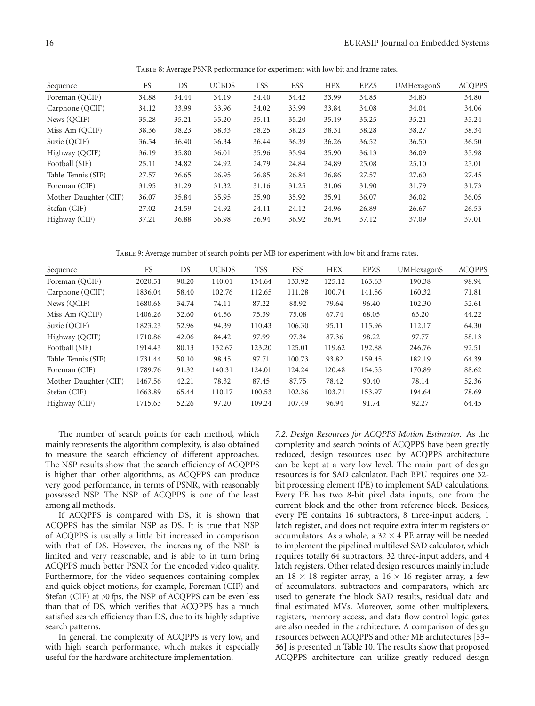| Sequence              | <b>FS</b> | DS    | <b>UCBDS</b> | <b>TSS</b> | FSS   | <b>HEX</b> | <b>EPZS</b> | <b>UMHexagonS</b> | <b>ACQPPS</b> |
|-----------------------|-----------|-------|--------------|------------|-------|------------|-------------|-------------------|---------------|
| Foreman (OCIF)        | 34.88     | 34.44 | 34.19        | 34.40      | 34.42 | 33.99      | 34.85       | 34.80             | 34.80         |
| Carphone (QCIF)       | 34.12     | 33.99 | 33.96        | 34.02      | 33.99 | 33.84      | 34.08       | 34.04             | 34.06         |
| News (OCIF)           | 35.28     | 35.21 | 35.20        | 35.11      | 35.20 | 35.19      | 35.25       | 35.21             | 35.24         |
| $Miss_Am (OCIF)$      | 38.36     | 38.23 | 38.33        | 38.25      | 38.23 | 38.31      | 38.28       | 38.27             | 38.34         |
| Suzie (OCIF)          | 36.54     | 36.40 | 36.34        | 36.44      | 36.39 | 36.26      | 36.52       | 36.50             | 36.50         |
| Highway (QCIF)        | 36.19     | 35.80 | 36.01        | 35.96      | 35.94 | 35.90      | 36.13       | 36.09             | 35.98         |
| Football (SIF)        | 25.11     | 24.82 | 24.92        | 24.79      | 24.84 | 24.89      | 25.08       | 25.10             | 25.01         |
| Table_Tennis (SIF)    | 27.57     | 26.65 | 26.95        | 26.85      | 26.84 | 26.86      | 27.57       | 27.60             | 27.45         |
| Foreman (CIF)         | 31.95     | 31.29 | 31.32        | 31.16      | 31.25 | 31.06      | 31.90       | 31.79             | 31.73         |
| Mother_Daughter (CIF) | 36.07     | 35.84 | 35.95        | 35.90      | 35.92 | 35.91      | 36.07       | 36.02             | 36.05         |
| Stefan (CIF)          | 27.02     | 24.59 | 24.92        | 24.11      | 24.12 | 24.96      | 26.89       | 26.67             | 26.53         |
| Highway (CIF)         | 37.21     | 36.88 | 36.98        | 36.94      | 36.92 | 36.94      | 37.12       | 37.09             | 37.01         |

Table 8: Average PSNR performance for experiment with low bit and frame rates.

Table 9: Average number of search points per MB for experiment with low bit and frame rates.

| Sequence                       | FS      | DS    | <b>UCBDS</b> | <b>TSS</b> | FSS    | <b>HEX</b> | <b>EPZS</b> | <b>UMHexagonS</b> | <b>ACOPPS</b> |
|--------------------------------|---------|-------|--------------|------------|--------|------------|-------------|-------------------|---------------|
| Foreman (OCIF)                 | 2020.51 | 90.20 | 140.01       | 134.64     | 133.92 | 125.12     | 163.63      | 190.38            | 98.94         |
| Carphone (QCIF)                | 1836.04 | 58.40 | 102.76       | 112.65     | 111.28 | 100.74     | 141.56      | 160.32            | 71.81         |
| News (OCIF)                    | 1680.68 | 34.74 | 74.11        | 87.22      | 88.92  | 79.64      | 96.40       | 102.30            | 52.61         |
| $Miss_Am (OCIF)$               | 1406.26 | 32.60 | 64.56        | 75.39      | 75.08  | 67.74      | 68.05       | 63.20             | 44.22         |
| Suzie (OCIF)                   | 1823.23 | 52.96 | 94.39        | 110.43     | 106.30 | 95.11      | 115.96      | 112.17            | 64.30         |
| Highway (QCIF)                 | 1710.86 | 42.06 | 84.42        | 97.99      | 97.34  | 87.36      | 98.22       | 97.77             | 58.13         |
| Football (SIF)                 | 1914.43 | 80.13 | 132.67       | 123.20     | 125.01 | 119.62     | 192.88      | 246.76            | 92.51         |
| Table <sub>-Tennis</sub> (SIF) | 1731.44 | 50.10 | 98.45        | 97.71      | 100.73 | 93.82      | 159.45      | 182.19            | 64.39         |
| Foreman (CIF)                  | 1789.76 | 91.32 | 140.31       | 124.01     | 124.24 | 120.48     | 154.55      | 170.89            | 88.62         |
| Mother_Daughter (CIF)          | 1467.56 | 42.21 | 78.32        | 87.45      | 87.75  | 78.42      | 90.40       | 78.14             | 52.36         |
| Stefan (CIF)                   | 1663.89 | 65.44 | 110.17       | 100.53     | 102.36 | 103.71     | 153.97      | 194.64            | 78.69         |
| Highway (CIF)                  | 1715.63 | 52.26 | 97.20        | 109.24     | 107.49 | 96.94      | 91.74       | 92.27             | 64.45         |

The number of search points for each method, which mainly represents the algorithm complexity, is also obtained to measure the search efficiency of different approaches. The NSP results show that the search efficiency of ACQPPS is higher than other algorithms, as ACQPPS can produce very good performance, in terms of PSNR, with reasonably possessed NSP. The NSP of ACQPPS is one of the least among all methods.

If ACQPPS is compared with DS, it is shown that ACQPPS has the similar NSP as DS. It is true that NSP of ACQPPS is usually a little bit increased in comparison with that of DS. However, the increasing of the NSP is limited and very reasonable, and is able to in turn bring ACQPPS much better PSNR for the encoded video quality. Furthermore, for the video sequences containing complex and quick object motions, for example, Foreman (CIF) and Stefan (CIF) at 30 fps, the NSP of ACQPPS can be even less than that of DS, which verifies that ACQPPS has a much satisfied search efficiency than DS, due to its highly adaptive search patterns.

In general, the complexity of ACQPPS is very low, and with high search performance, which makes it especially useful for the hardware architecture implementation.

*7.2. Design Resources for ACQPPS Motion Estimator.* As the complexity and search points of ACQPPS have been greatly reduced, design resources used by ACQPPS architecture can be kept at a very low level. The main part of design resources is for SAD calculator. Each BPU requires one 32 bit processing element (PE) to implement SAD calculations. Every PE has two 8-bit pixel data inputs, one from the current block and the other from reference block. Besides, every PE contains 16 subtractors, 8 three-input adders, 1 latch register, and does not require extra interim registers or accumulators. As a whole, a  $32 \times 4$  PE array will be needed to implement the pipelined multilevel SAD calculator, which requires totally 64 subtractors, 32 three-input adders, and 4 latch registers. Other related design resources mainly include an  $18 \times 18$  register array, a  $16 \times 16$  register array, a few of accumulators, subtractors and comparators, which are used to generate the block SAD results, residual data and final estimated MVs. Moreover, some other multiplexers, registers, memory access, and data flow control logic gates are also needed in the architecture. A comparison of design resources between ACQPPS and other ME architectures [33– 36] is presented in Table 10. The results show that proposed ACQPPS architecture can utilize greatly reduced design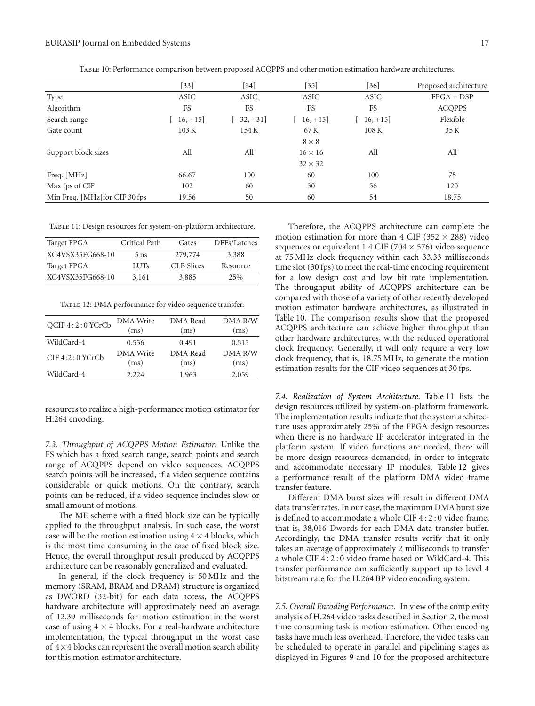| [35]<br>Proposed architecture<br>$\left[36\right]$      |        |              |                                |
|---------------------------------------------------------|--------|--------------|--------------------------------|
|                                                         | $[34]$ | $[33]$       |                                |
| ASIC<br>ASIC<br>$FPGA + DSP$<br>ASIC                    |        | <b>ASIC</b>  | Type                           |
| FS<br><b>ACQPPS</b><br>FS<br>FS                         |        | FS           | Algorithm                      |
| Flexible<br>$[-32, +31]$<br>$[-16, +15]$<br>$[-16,+15]$ |        | $[-16, +15]$ | Search range                   |
| 154 K<br>108K<br>35 K<br>67 K                           |        | 103K         | Gate count                     |
| $8 \times 8$                                            |        |              |                                |
| All<br>All<br>All<br>$16 \times 16$                     |        | All          | Support block sizes            |
| $32 \times 32$                                          |        |              |                                |
| 75<br>100<br>60<br>100                                  |        | 66.67        | Freq. [MHz]                    |
| 30<br>60<br>56<br>120                                   |        | 102          | Max fps of CIF                 |
| 60<br>18.75<br>50<br>54                                 |        | 19.56        | Min Freq. [MHz] for CIF 30 fps |
|                                                         |        |              |                                |

Table 10: Performance comparison between proposed ACQPPS and other motion estimation hardware architectures.

Table 11: Design resources for system-on-platform architecture.

| Target FPGA      | Critical Path   | Gates      | DFFs/Latches |
|------------------|-----------------|------------|--------------|
| XC4VSX35FG668-10 | 5 <sub>ns</sub> | 279,774    | 3,388        |
| Target FPGA      | LUTs            | CLB Slices | Resource     |
| XC4VSX35FG668-10 | 3,161           | 3,885      | 25%          |

TABLE 12: DMA performance for video sequence transfer.

| QCIF 4:2:0 YCrCb    | DMA Write | DMA Read | DMA R/W |
|---------------------|-----------|----------|---------|
|                     | (ms)      | (ms)     | (ms)    |
| WildCard-4          | 0.556     | 0.491    | 0.515   |
| $CIF 4:2:0$ $YCrCb$ | DMA Write | DMA Read | DMA R/W |
|                     | (ms)      | (ms)     | (ms)    |
| WildCard-4          | 2.224     | 1.963    | 2.059   |

resources to realize a high-performance motion estimator for H.264 encoding.

*7.3. Throughput of ACQPPS Motion Estimator.* Unlike the FS which has a fixed search range, search points and search range of ACQPPS depend on video sequences. ACQPPS search points will be increased, if a video sequence contains considerable or quick motions. On the contrary, search points can be reduced, if a video sequence includes slow or small amount of motions.

The ME scheme with a fixed block size can be typically applied to the throughput analysis. In such case, the worst case will be the motion estimation using  $4 \times 4$  blocks, which is the most time consuming in the case of fixed block size. Hence, the overall throughput result produced by ACQPPS architecture can be reasonably generalized and evaluated.

In general, if the clock frequency is 50 MHz and the memory (SRAM, BRAM and DRAM) structure is organized as DWORD (32-bit) for each data access, the ACQPPS hardware architecture will approximately need an average of 12.39 milliseconds for motion estimation in the worst case of using  $4 \times 4$  blocks. For a real-hardware architecture implementation, the typical throughput in the worst case of  $4\times4$  blocks can represent the overall motion search ability for this motion estimator architecture.

Therefore, the ACQPPS architecture can complete the motion estimation for more than 4 CIF (352  $\times$  288) video sequences or equivalent 1 4 CIF (704  $\times$  576) video sequence at 75 MHz clock frequency within each 33.33 milliseconds time slot (30 fps) to meet the real-time encoding requirement for a low design cost and low bit rate implementation. The throughput ability of ACQPPS architecture can be compared with those of a variety of other recently developed motion estimator hardware architectures, as illustrated in Table 10. The comparison results show that the proposed ACQPPS architecture can achieve higher throughput than other hardware architectures, with the reduced operational clock frequency. Generally, it will only require a very low clock frequency, that is, 18.75 MHz, to generate the motion estimation results for the CIF video sequences at 30 fps.

*7.4. Realization of System Architecture.* Table 11 lists the design resources utilized by system-on-platform framework. The implementation results indicate that the system architecture uses approximately 25% of the FPGA design resources when there is no hardware IP accelerator integrated in the platform system. If video functions are needed, there will be more design resources demanded, in order to integrate and accommodate necessary IP modules. Table 12 gives a performance result of the platform DMA video frame transfer feature.

Different DMA burst sizes will result in different DMA data transfer rates. In our case, the maximum DMA burst size is defined to accommodate a whole CIF 4 : 2 : 0 video frame, that is, 38,016 Dwords for each DMA data transfer buffer. Accordingly, the DMA transfer results verify that it only takes an average of approximately 2 milliseconds to transfer a whole CIF 4 : 2 : 0 video frame based on WildCard-4. This transfer performance can sufficiently support up to level 4 bitstream rate for the H.264 BP video encoding system.

*7.5. Overall Encoding Performance.* In view of the complexity analysis of H.264 video tasks described in Section 2, the most time consuming task is motion estimation. Other encoding tasks have much less overhead. Therefore, the video tasks can be scheduled to operate in parallel and pipelining stages as displayed in Figures 9 and 10 for the proposed architecture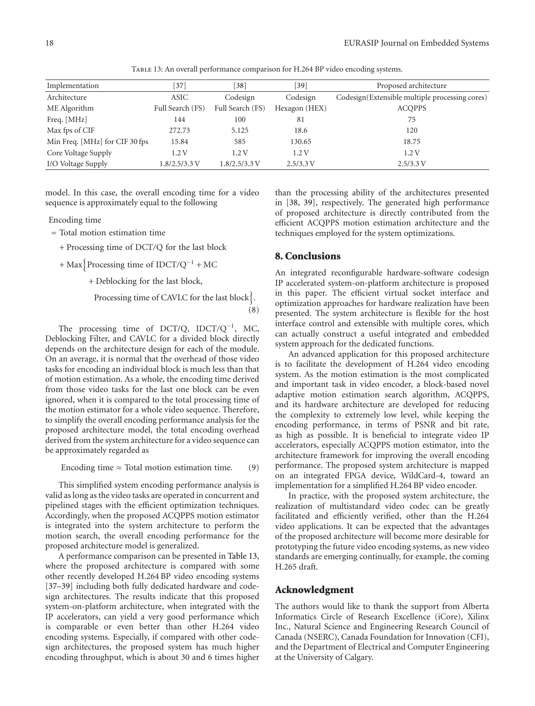Table 13: An overall performance comparison for H.264 BP video encoding systems.

| Implementation                 | [37]             | $\lceil 38 \rceil$ | [39]          | Proposed architecture                           |
|--------------------------------|------------------|--------------------|---------------|-------------------------------------------------|
| Architecture                   | <b>ASIC</b>      | Codesign           | Codesign      | Codesign (Extensible multiple processing cores) |
| ME Algorithm                   | Full Search (FS) | Full Search (FS)   | Hexagon (HEX) | <b>ACQPPS</b>                                   |
| Freq. [MHz]                    | 144              | 100                | 81            | 75                                              |
| Max fps of CIF                 | 272.73           | 5.125              | 18.6          | 120                                             |
| Min Freq. [MHz] for CIF 30 fps | 15.84            | 585                | 130.65        | 18.75                                           |
| Core Voltage Supply            | 1.2V             | 1.2V               | 1.2V          | 1.2V                                            |
| I/O Voltage Supply             | $1.8/2.5/3.3$ V  | $1.8/2.5/3.3$ V    | $2.5/3.3$ V   | $2.5/3.3$ V                                     |

model. In this case, the overall encoding time for a video sequence is approximately equal to the following

Encoding time

- = Total motion estimation time
	- + Processing time of DCT*/*Q for the last block
	- + Max Processing time of IDCT*/*Q−<sup>1</sup> + MC

+ Deblocking for the last block,

Processing time of CAVLC for the last block *.* (8)

The processing time of DCT/Q, IDCT*/*Q−<sup>1</sup> , MC, Deblocking Filter, and CAVLC for a divided block directly depends on the architecture design for each of the module. On an average, it is normal that the overhead of those video tasks for encoding an individual block is much less than that of motion estimation. As a whole, the encoding time derived from those video tasks for the last one block can be even ignored, when it is compared to the total processing time of the motion estimator for a whole video sequence. Therefore, to simplify the overall encoding performance analysis for the proposed architecture model, the total encoding overhead derived from the system architecture for a video sequence can be approximately regarded as

Encoding time  $\approx$  Total motion estimation time. (9)

This simplified system encoding performance analysis is valid as long as the video tasks are operated in concurrent and pipelined stages with the efficient optimization techniques. Accordingly, when the proposed ACQPPS motion estimator is integrated into the system architecture to perform the motion search, the overall encoding performance for the proposed architecture model is generalized.

A performance comparison can be presented in Table 13, where the proposed architecture is compared with some other recently developed H.264 BP video encoding systems [37–39] including both fully dedicated hardware and codesign architectures. The results indicate that this proposed system-on-platform architecture, when integrated with the IP accelerators, can yield a very good performance which is comparable or even better than other H.264 video encoding systems. Especially, if compared with other codesign architectures, the proposed system has much higher encoding throughput, which is about 30 and 6 times higher

than the processing ability of the architectures presented in [38, 39], respectively. The generated high performance of proposed architecture is directly contributed from the efficient ACQPPS motion estimation architecture and the techniques employed for the system optimizations.

### **8. Conclusions**

An integrated reconfigurable hardware-software codesign IP accelerated system-on-platform architecture is proposed in this paper. The efficient virtual socket interface and optimization approaches for hardware realization have been presented. The system architecture is flexible for the host interface control and extensible with multiple cores, which can actually construct a useful integrated and embedded system approach for the dedicated functions.

An advanced application for this proposed architecture is to facilitate the development of H.264 video encoding system. As the motion estimation is the most complicated and important task in video encoder, a block-based novel adaptive motion estimation search algorithm, ACQPPS, and its hardware architecture are developed for reducing the complexity to extremely low level, while keeping the encoding performance, in terms of PSNR and bit rate, as high as possible. It is beneficial to integrate video IP accelerators, especially ACQPPS motion estimator, into the architecture framework for improving the overall encoding performance. The proposed system architecture is mapped on an integrated FPGA device, WildCard-4, toward an implementation for a simplified H.264 BP video encoder.

In practice, with the proposed system architecture, the realization of multistandard video codec can be greatly facilitated and efficiently verified, other than the H.264 video applications. It can be expected that the advantages of the proposed architecture will become more desirable for prototyping the future video encoding systems, as new video standards are emerging continually, for example, the coming H.265 draft.

#### **Acknowledgment**

The authors would like to thank the support from Alberta Informatics Circle of Research Excellence (iCore), Xilinx Inc., Natural Science and Engineering Research Council of Canada (NSERC), Canada Foundation for Innovation (CFI), and the Department of Electrical and Computer Engineering at the University of Calgary.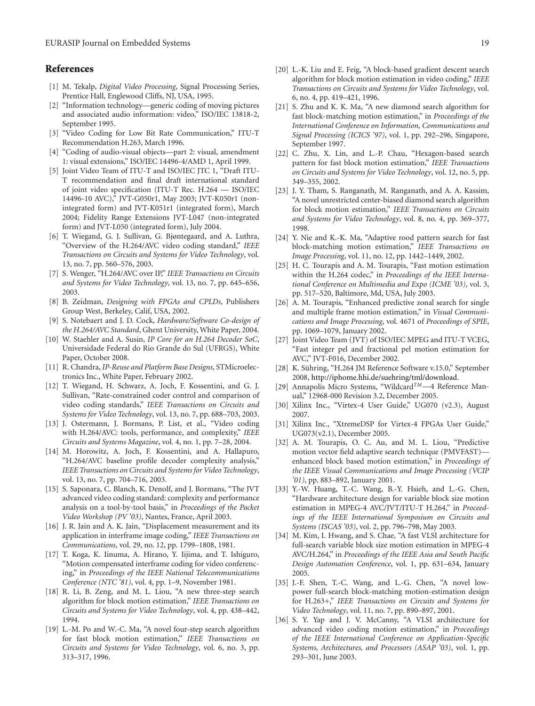## **References**

- [1] M. Tekalp, *Digital Video Processing*, Signal Processing Series, Prentice Hall, Englewood Cliffs, NJ, USA, 1995.
- [2] "Information technology—generic coding of moving pictures and associated audio information: video," ISO/IEC 13818-2, September 1995.
- [3] "Video Coding for Low Bit Rate Communication," ITU-T Recommendation H.263, March 1996.
- [4] "Coding of audio-visual objects—part 2: visual, amendment 1: visual extensions," ISO/IEC 14496-4/AMD 1, April 1999.
- [5] Joint Video Team of ITU-T and ISO/IEC JTC 1, "Draft ITU-T recommendation and final draft international standard of joint video specification (ITU-T Rec. H.264 — ISO/IEC 14496-10 AVC)," JVT-G050r1, May 2003; JVT-K050r1 (nonintegrated form) and JVT-K051r1 (integrated form), March 2004; Fidelity Range Extensions JVT-L047 (non-integrated form) and JVT-L050 (integrated form), July 2004.
- [6] T. Wiegand, G. J. Sullivan, G. Bjøntegaard, and A. Luthra, "Overview of the H.264/AVC video coding standard," *IEEE Transactions on Circuits and Systems for Video Technology*, vol. 13, no. 7, pp. 560–576, 2003.
- [7] S. Wenger, "H.264/AVC over IP," *IEEE Transactions on Circuits and Systems for Video Technology*, vol. 13, no. 7, pp. 645–656, 2003.
- [8] B. Zeidman, *Designing with FPGAs and CPLDs*, Publishers Group West, Berkeley, Calif, USA, 2002.
- [9] S. Notebaert and J. D. Cock, *Hardware/Software Co-design of the H.264/AVC Standard*, Ghent University, White Paper, 2004.
- [10] W. Staehler and A. Susin, *IP Core for an H.264 Decoder SoC*, Universidade Federal do Rio Grande do Sul (UFRGS), White Paper, October 2008.
- [11] R. Chandra, *IP-Reuse and Platform Base Designs*, STMicroelectronics Inc., White Paper, February 2002.
- [12] T. Wiegand, H. Schwarz, A. Joch, F. Kossentini, and G. J. Sullivan, "Rate-constrained coder control and comparison of video coding standards," *IEEE Transactions on Circuits and Systems for Video Technology*, vol. 13, no. 7, pp. 688–703, 2003.
- [13] J. Ostermann, J. Bormans, P. List, et al., "Video coding with H.264/AVC: tools, performance, and complexity," *IEEE Circuits and Systems Magazine*, vol. 4, no. 1, pp. 7–28, 2004.
- [14] M. Horowitz, A. Joch, F. Kossentini, and A. Hallapuro, "H.264/AVC baseline profile decoder complexity analysis," *IEEE Transactions on Circuits and Systems for Video Technology*, vol. 13, no. 7, pp. 704–716, 2003.
- [15] S. Saponara, C. Blanch, K. Denolf, and J. Bormans, "The JVT advanced video coding standard: complexity and performance analysis on a tool-by-tool basis," in *Proceedings of the Packet Video Workshop (PV '03)*, Nantes, France, April 2003.
- [16] J. R. Jain and A. K. Jain, "Displacement measurement and its application in interframe image coding," *IEEE Transactions on Communications*, vol. 29, no. 12, pp. 1799–1808, 1981.
- [17] T. Koga, K. Iinuma, A. Hirano, Y. Iijima, and T. Ishiguro, "Motion compensated interframe coding for video conferencing," in *Proceedings of the IEEE National Telecommunications Conference (NTC '81)*, vol. 4, pp. 1–9, November 1981.
- [18] R. Li, B. Zeng, and M. L. Liou, "A new three-step search algorithm for block motion estimation," *IEEE Transactions on Circuits and Systems for Video Technology*, vol. 4, pp. 438–442, 1994.
- [19] L.-M. Po and W.-C. Ma, "A novel four-step search algorithm for fast block motion estimation," *IEEE Transactions on Circuits and Systems for Video Technology*, vol. 6, no. 3, pp. 313–317, 1996.
- [20] L.-K. Liu and E. Feig, "A block-based gradient descent search algorithm for block motion estimation in video coding," *IEEE Transactions on Circuits and Systems for Video Technology*, vol. 6, no. 4, pp. 419–421, 1996.
- [21] S. Zhu and K. K. Ma, "A new diamond search algorithm for fast block-matching motion estimation," in *Proceedings of the International Conference on Information, Communications and Signal Processing (ICICS '97)*, vol. 1, pp. 292–296, Singapore, September 1997.
- [22] C. Zhu, X. Lin, and L.-P. Chau, "Hexagon-based search pattern for fast block motion estimation," *IEEE Transactions on Circuits and Systems for Video Technology*, vol. 12, no. 5, pp. 349–355, 2002.
- [23] J. Y. Tham, S. Ranganath, M. Ranganath, and A. A. Kassim, "A novel unrestricted center-biased diamond search algorithm for block motion estimation," *IEEE Transactions on Circuits and Systems for Video Technology*, vol. 8, no. 4, pp. 369–377, 1998.
- [24] Y. Nie and K.-K. Ma, "Adaptive rood pattern search for fast block-matching motion estimation," *IEEE Transactions on Image Processing*, vol. 11, no. 12, pp. 1442–1449, 2002.
- [25] H. C. Tourapis and A. M. Tourapis, "Fast motion estimation within the H.264 codec," in *Proceedings of the IEEE International Conference on Multimedia and Expo (ICME '03)*, vol. 3, pp. 517–520, Baltimore, Md, USA, July 2003.
- [26] A. M. Tourapis, "Enhanced predictive zonal search for single and multiple frame motion estimation," in *Visual Communications and Image Processing*, vol. 4671 of *Proceedings of SPIE*, pp. 1069–1079, January 2002.
- [27] Joint Video Team (JVT) of ISO/IEC MPEG and ITU-T VCEG, "Fast integer pel and fractional pel motion estimation for AVC," JVT-F016, December 2002.
- [28] K. Sühring, "H.264 JM Reference Software v.15.0," September 2008, http://iphome.hhi.de/suehring/tml/download.
- [29] Annapolis Micro Systems, "Wildcard*TM*—4 Reference Manual," 12968-000 Revision 3.2, December 2005.
- [30] Xilinx Inc., "Virtex-4 User Guide," UG070 (v2.3), August 2007.
- [31] Xilinx Inc., "XtremeDSP for Virtex-4 FPGAs User Guide," UG073(v2.1), December 2005.
- [32] A. M. Tourapis, O. C. Au, and M. L. Liou, "Predictive motion vector field adaptive search technique (PMVFAST) enhanced block based motion estimation," in *Proceedings of the IEEE Visual Communications and Image Processing (VCIP '01)*, pp. 883–892, January 2001.
- [33] Y.-W. Huang, T.-C. Wang, B.-Y. Hsieh, and L.-G. Chen, "Hardware architecture design for variable block size motion estimation in MPEG-4 AVC/JVT/ITU-T H.264," in *Proceedings of the IEEE International Symposium on Circuits and Systems (ISCAS '03)*, vol. 2, pp. 796–798, May 2003.
- [34] M. Kim, I. Hwang, and S. Chae, "A fast VLSI architecture for full-search variable block size motion estimation in MPEG-4 AVC/H.264," in *Proceedings of the IEEE Asia and South Pacific Design Automation Conference*, vol. 1, pp. 631–634, January 2005.
- [35] J.-F. Shen, T.-C. Wang, and L.-G. Chen, "A novel lowpower full-search block-matching motion-estimation design for H.263+," *IEEE Transactions on Circuits and Systems for Video Technology*, vol. 11, no. 7, pp. 890–897, 2001.
- [36] S. Y. Yap and J. V. McCanny, "A VLSI architecture for advanced video coding motion estimation," in *Proceedings of the IEEE International Conference on Application-Specific Systems, Architectures, and Processors (ASAP '03)*, vol. 1, pp. 293–301, June 2003.